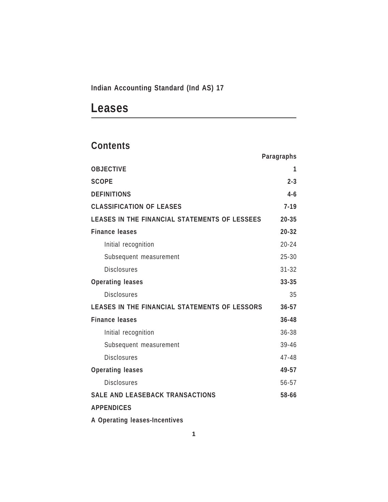**Indian Accounting Standard (Ind AS) 17**

# **Leases**

# **Contents**

|                                               | Paragraphs |
|-----------------------------------------------|------------|
| <b>OBJECTIVE</b>                              | 1          |
| <b>SCOPE</b>                                  | $2 - 3$    |
| <b>DEFINITIONS</b>                            | $4 - 6$    |
| <b>CLASSIFICATION OF LEASES</b>               | $7 - 19$   |
| LEASES IN THE FINANCIAL STATEMENTS OF LESSEES | $20 - 35$  |
| <b>Finance leases</b>                         | $20 - 32$  |
| Initial recognition                           | $20 - 24$  |
| Subsequent measurement                        | $25 - 30$  |
| <b>Disclosures</b>                            | $31 - 32$  |
| <b>Operating leases</b>                       | 33-35      |
| <b>Disclosures</b>                            | 35         |
| LEASES IN THE FINANCIAL STATEMENTS OF LESSORS | $36 - 57$  |
| <b>Finance leases</b>                         | $36 - 48$  |
| Initial recognition                           | $36 - 38$  |
| Subsequent measurement                        | 39-46      |
| <b>Disclosures</b>                            | $47 - 48$  |
| <b>Operating leases</b>                       | 49-57      |
| <b>Disclosures</b>                            | 56-57      |
| <b>SALE AND LEASEBACK TRANSACTIONS</b>        | 58-66      |
| <b>APPENDICES</b>                             |            |

**A Operating leases-Incentives**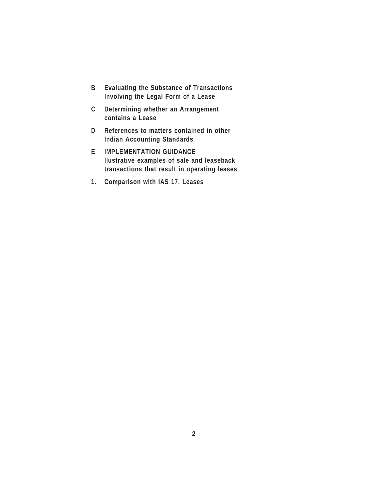- **B Evaluating the Substance of Transactions Involving the Legal Form of a Lease**
- **C Determining whether an Arrangement contains a Lease**
- **D References to matters contained in other Indian Accounting Standards**
- **E IMPLEMENTATION GUIDANCE llustrative examples of sale and leaseback transactions that result in operating leases**
- **1. Comparison with IAS 17, Leases**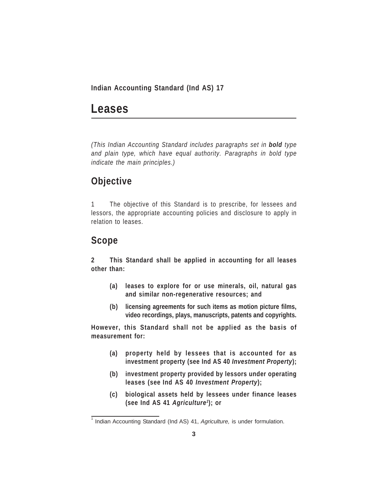### **Indian Accounting Standard (Ind AS) 17**

# **Leases**

*(This Indian Accounting Standard includes paragraphs set in bold type and plain type, which have equal authority. Paragraphs in bold type indicate the main principles.)*

## **Objective**

1 The objective of this Standard is to prescribe, for lessees and lessors, the appropriate accounting policies and disclosure to apply in relation to leases.

### **Scope**

**2 This Standard shall be applied in accounting for all leases other than:**

- **(a) leases to explore for or use minerals, oil, natural gas and similar non-regenerative resources; and**
- **(b) licensing agreements for such items as motion picture films, video recordings, plays, manuscripts, patents and copyrights.**

**However, this Standard shall not be applied as the basis of measurement for:**

- **(a) property held by lessees that is accounted for as investment property (see Ind AS 40** *Investment Property***);**
- **(b) investment property provided by lessors under operating leases (see Ind AS 40** *Investment Property***);**
- **(c) biological assets held by lessees under finance leases (see Ind AS 41** *Agriculture1* **); or**

<sup>1</sup> Indian Accounting Standard (Ind AS) 41, *Agriculture,* is under formulation.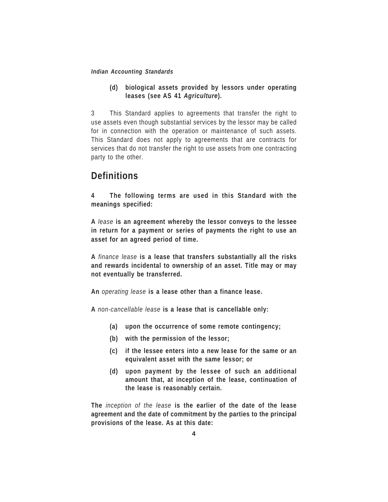**(d) biological assets provided by lessors under operating leases (see AS 41** *Agriculture***).**

3 This Standard applies to agreements that transfer the right to use assets even though substantial services by the lessor may be called for in connection with the operation or maintenance of such assets. This Standard does not apply to agreements that are contracts for services that do not transfer the right to use assets from one contracting party to the other.

## **Definitions**

**4 The following terms are used in this Standard with the meanings specified:**

**A** *lease* **is an agreement whereby the lessor conveys to the lessee in return for a payment or series of payments the right to use an asset for an agreed period of time.**

**A** *finance lease* **is a lease that transfers substantially all the risks and rewards incidental to ownership of an asset. Title may or may not eventually be transferred.**

**An** *operating lease* **is a lease other than a finance lease.**

**A** *non-cancellable lease* **is a lease that is cancellable only:**

- **(a) upon the occurrence of some remote contingency;**
- **(b) with the permission of the lessor;**
- **(c) if the lessee enters into a new lease for the same or an equivalent asset with the same lessor; or**
- **(d) upon payment by the lessee of such an additional amount that, at inception of the lease, continuation of the lease is reasonably certain.**

**The** *inception of the lease* **is the earlier of the date of the lease agreement and the date of commitment by the parties to the principal provisions of the lease. As at this date:**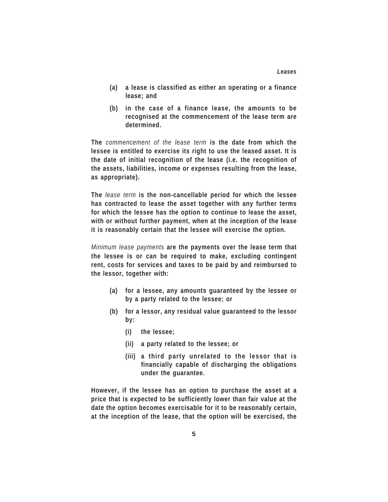- **(a) a lease is classified as either an operating or a finance lease; and**
- **(b) in the case of a finance lease, the amounts to be recognised at the commencement of the lease term are determined.**

**The** *commencement of the lease term* **is the date from which the lessee is entitled to exercise its right to use the leased asset. It is the date of initial recognition of the lease (i.e. the recognition of the assets, liabilities, income or expenses resulting from the lease, as appropriate).**

**The** *lease term* **is the non-cancellable period for which the lessee has contracted to lease the asset together with any further terms for which the lessee has the option to continue to lease the asset, with or without further payment, when at the inception of the lease it is reasonably certain that the lessee will exercise the option.**

*Minimum lease payments* **are the payments over the lease term that the lessee is or can be required to make, excluding contingent rent, costs for services and taxes to be paid by and reimbursed to the lessor, together with:**

- **(a) for a lessee, any amounts guaranteed by the lessee or by a party related to the lessee; or**
- **(b) for a lessor, any residual value guaranteed to the lessor by:**
	- **(i) the lessee;**
	- **(ii) a party related to the lessee; or**
	- **(iii) a third party unrelated to the lessor that is financially capable of discharging the obligations under the guarantee.**

**However, if the lessee has an option to purchase the asset at a price that is expected to be sufficiently lower than fair value at the date the option becomes exercisable for it to be reasonably certain, at the inception of the lease, that the option will be exercised, the**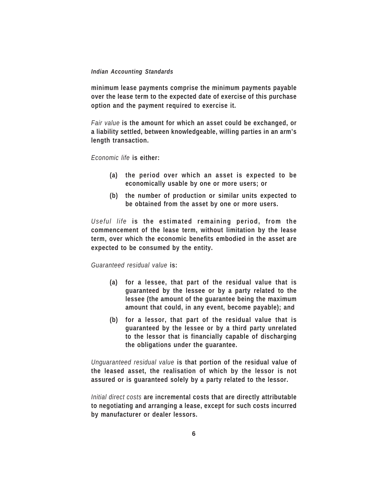**minimum lease payments comprise the minimum payments payable over the lease term to the expected date of exercise of this purchase option and the payment required to exercise it.**

*Fair value* **is the amount for which an asset could be exchanged, or a liability settled, between knowledgeable, willing parties in an arm's length transaction.**

*Economic life* **is either:**

- **(a) the period over which an asset is expected to be economically usable by one or more users; or**
- **(b) the number of production or similar units expected to be obtained from the asset by one or more users.**

*Useful life* **is the estimated remaining period, from the commencement of the lease term, without limitation by the lease term, over which the economic benefits embodied in the asset are expected to be consumed by the entity.**

### *Guaranteed residual value* **is:**

- **(a) for a lessee, that part of the residual value that is guaranteed by the lessee or by a party related to the lessee (the amount of the guarantee being the maximum amount that could, in any event, become payable); and**
- **(b) for a lessor, that part of the residual value that is guaranteed by the lessee or by a third party unrelated to the lessor that is financially capable of discharging the obligations under the guarantee.**

*Unguaranteed residual value* **is that portion of the residual value of the leased asset, the realisation of which by the lessor is not assured or is guaranteed solely by a party related to the lessor.**

*Initial direct costs* **are incremental costs that are directly attributable to negotiating and arranging a lease, except for such costs incurred by manufacturer or dealer lessors.**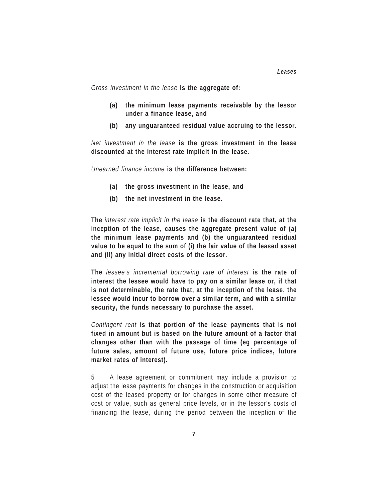*Gross investment in the lease* **is the aggregate of:**

- **(a) the minimum lease payments receivable by the lessor under a finance lease, and**
- **(b) any unguaranteed residual value accruing to the lessor.**

*Net investment in the lease* **is the gross investment in the lease discounted at the interest rate implicit in the lease.**

*Unearned finance income* **is the difference between:**

- **(a) the gross investment in the lease, and**
- **(b) the net investment in the lease.**

**The** *interest rate implicit in the lease* **is the discount rate that, at the inception of the lease, causes the aggregate present value of (a) the minimum lease payments and (b) the unguaranteed residual value to be equal to the sum of (i) the fair value of the leased asset and (ii) any initial direct costs of the lessor.**

**The** *lessee's incremental borrowing rate of interest* **is the rate of interest the lessee would have to pay on a similar lease or, if that is not determinable, the rate that, at the inception of the lease, the lessee would incur to borrow over a similar term, and with a similar security, the funds necessary to purchase the asset.**

*Contingent rent* **is that portion of the lease payments that is not fixed in amount but is based on the future amount of a factor that changes other than with the passage of time (eg percentage of future sales, amount of future use, future price indices, future market rates of interest).**

5 A lease agreement or commitment may include a provision to adjust the lease payments for changes in the construction or acquisition cost of the leased property or for changes in some other measure of cost or value, such as general price levels, or in the lessor's costs of financing the lease, during the period between the inception of the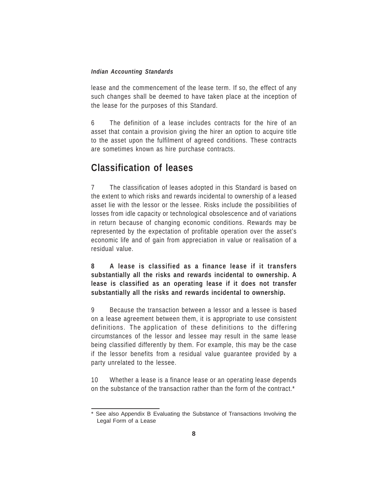lease and the commencement of the lease term. If so, the effect of any such changes shall be deemed to have taken place at the inception of the lease for the purposes of this Standard.

6 The definition of a lease includes contracts for the hire of an asset that contain a provision giving the hirer an option to acquire title to the asset upon the fulfilment of agreed conditions. These contracts are sometimes known as hire purchase contracts.

## **Classification of leases**

7 The classification of leases adopted in this Standard is based on the extent to which risks and rewards incidental to ownership of a leased asset lie with the lessor or the lessee. Risks include the possibilities of losses from idle capacity or technological obsolescence and of variations in return because of changing economic conditions. Rewards may be represented by the expectation of profitable operation over the asset's economic life and of gain from appreciation in value or realisation of a residual value.

**8 A lease is classified as a finance lease if it transfers substantially all the risks and rewards incidental to ownership. A lease is classified as an operating lease if it does not transfer substantially all the risks and rewards incidental to ownership.**

9 Because the transaction between a lessor and a lessee is based on a lease agreement between them, it is appropriate to use consistent definitions. The application of these definitions to the differing circumstances of the lessor and lessee may result in the same lease being classified differently by them. For example, this may be the case if the lessor benefits from a residual value guarantee provided by a party unrelated to the lessee.

10 Whether a lease is a finance lease or an operating lease depends on the substance of the transaction rather than the form of the contract.\*

See also Appendix B Evaluating the Substance of Transactions Involving the Legal Form of a Lease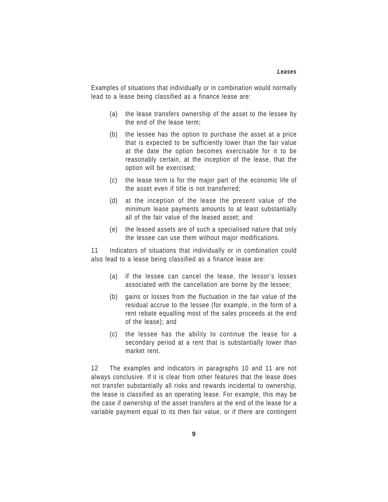Examples of situations that individually or in combination would normally lead to a lease being classified as a finance lease are:

- (a) the lease transfers ownership of the asset to the lessee by the end of the lease term;
- (b) the lessee has the option to purchase the asset at a price that is expected to be sufficiently lower than the fair value at the date the option becomes exercisable for it to be reasonably certain, at the inception of the lease, that the option will be exercised;
- (c) the lease term is for the major part of the economic life of the asset even if title is not transferred;
- (d) at the inception of the lease the present value of the minimum lease payments amounts to at least substantially all of the fair value of the leased asset; and
- (e) the leased assets are of such a specialised nature that only the lessee can use them without major modifications.

11 Indicators of situations that individually or in combination could also lead to a lease being classified as a finance lease are:

- (a) if the lessee can cancel the lease, the lessor's losses associated with the cancellation are borne by the lessee;
- (b) gains or losses from the fluctuation in the fair value of the residual accrue to the lessee (for example, in the form of a rent rebate equalling most of the sales proceeds at the end of the lease); and
- (c) the lessee has the ability to continue the lease for a secondary period at a rent that is substantially lower than market rent.

12 The examples and indicators in paragraphs 10 and 11 are not always conclusive. If it is clear from other features that the lease does not transfer substantially all risks and rewards incidental to ownership, the lease is classified as an operating lease. For example, this may be the case if ownership of the asset transfers at the end of the lease for a variable payment equal to its then fair value, or if there are contingent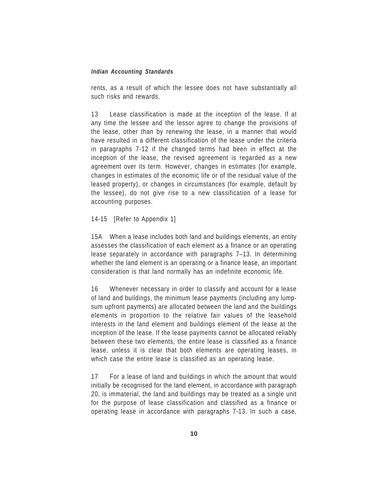rents, as a result of which the lessee does not have substantially all such risks and rewards.

13 Lease classification is made at the inception of the lease. If at any time the lessee and the lessor agree to change the provisions of the lease, other than by renewing the lease, in a manner that would have resulted in a different classification of the lease under the criteria in paragraphs 7-12 if the changed terms had been in effect at the inception of the lease, the revised agreement is regarded as a new agreement over its term. However, changes in estimates (for example, changes in estimates of the economic life or of the residual value of the leased property), or changes in circumstances (for example, default by the lessee), do not give rise to a new classification of a lease for accounting purposes.

#### 14-15 [Refer to Appendix 1]

15A When a lease includes both land and buildings elements, an entity assesses the classification of each element as a finance or an operating lease separately in accordance with paragraphs 7–13. In determining whether the land element is an operating or a finance lease, an important consideration is that land normally has an indefinite economic life.

16 Whenever necessary in order to classify and account for a lease of land and buildings, the minimum lease payments (including any lumpsum upfront payments) are allocated between the land and the buildings elements in proportion to the relative fair values of the leasehold interests in the land element and buildings element of the lease at the inception of the lease. If the lease payments cannot be allocated reliably between these two elements, the entire lease is classified as a finance lease, unless it is clear that both elements are operating leases, in which case the entire lease is classified as an operating lease.

17 For a lease of land and buildings in which the amount that would initially be recognised for the land element, in accordance with paragraph 20, is immaterial, the land and buildings may be treated as a single unit for the purpose of lease classification and classified as a finance or operating lease in accordance with paragraphs 7-13. In such a case,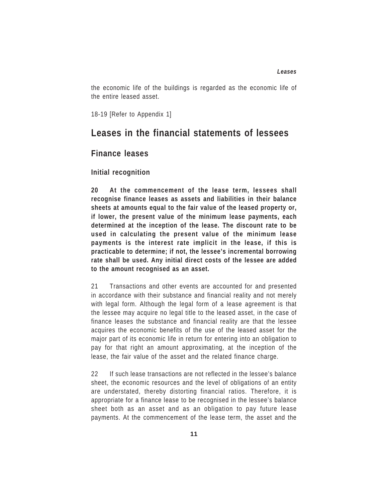the economic life of the buildings is regarded as the economic life of the entire leased asset.

18-19 [Refer to Appendix 1]

## **Leases in the financial statements of lessees**

### **Finance leases**

#### **Initial recognition**

**20 At the commencement of the lease term, lessees shall recognise finance leases as assets and liabilities in their balance sheets at amounts equal to the fair value of the leased property or, if lower, the present value of the minimum lease payments, each determined at the inception of the lease. The discount rate to be used in calculating the present value of the minimum lease payments is the interest rate implicit in the lease, if this is practicable to determine; if not, the lessee's incremental borrowing rate shall be used. Any initial direct costs of the lessee are added to the amount recognised as an asset.**

21 Transactions and other events are accounted for and presented in accordance with their substance and financial reality and not merely with legal form. Although the legal form of a lease agreement is that the lessee may acquire no legal title to the leased asset, in the case of finance leases the substance and financial reality are that the lessee acquires the economic benefits of the use of the leased asset for the major part of its economic life in return for entering into an obligation to pay for that right an amount approximating, at the inception of the lease, the fair value of the asset and the related finance charge.

22 If such lease transactions are not reflected in the lessee's balance sheet, the economic resources and the level of obligations of an entity are understated, thereby distorting financial ratios. Therefore, it is appropriate for a finance lease to be recognised in the lessee's balance sheet both as an asset and as an obligation to pay future lease payments. At the commencement of the lease term, the asset and the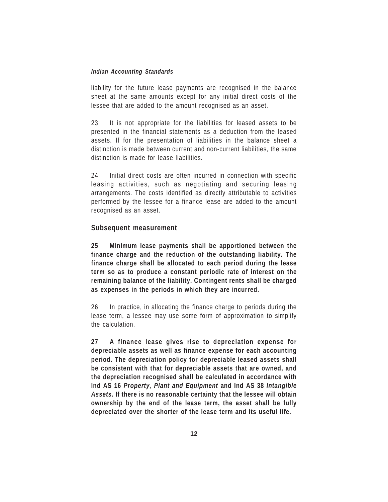liability for the future lease payments are recognised in the balance sheet at the same amounts except for any initial direct costs of the lessee that are added to the amount recognised as an asset.

23 It is not appropriate for the liabilities for leased assets to be presented in the financial statements as a deduction from the leased assets. If for the presentation of liabilities in the balance sheet a distinction is made between current and non-current liabilities, the same distinction is made for lease liabilities.

24 Initial direct costs are often incurred in connection with specific leasing activities, such as negotiating and securing leasing arrangements. The costs identified as directly attributable to activities performed by the lessee for a finance lease are added to the amount recognised as an asset.

#### **Subsequent measurement**

**25 Minimum lease payments shall be apportioned between the finance charge and the reduction of the outstanding liability. The finance charge shall be allocated to each period during the lease term so as to produce a constant periodic rate of interest on the remaining balance of the liability. Contingent rents shall be charged as expenses in the periods in which they are incurred.**

26 In practice, in allocating the finance charge to periods during the lease term, a lessee may use some form of approximation to simplify the calculation.

**27 A finance lease gives rise to depreciation expense for depreciable assets as well as finance expense for each accounting period. The depreciation policy for depreciable leased assets shall be consistent with that for depreciable assets that are owned, and the depreciation recognised shall be calculated in accordance with Ind AS 16** *Property, Plant and Equipment* **and Ind AS 38** *Intangible Assets***. If there is no reasonable certainty that the lessee will obtain ownership by the end of the lease term, the asset shall be fully depreciated over the shorter of the lease term and its useful life.**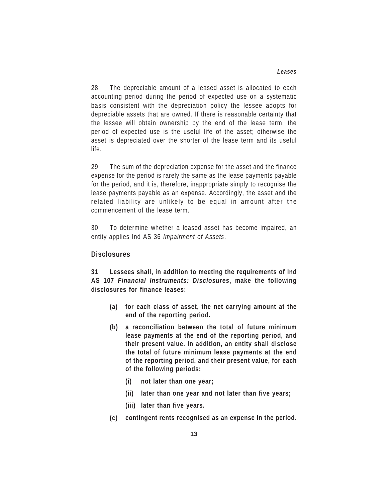28 The depreciable amount of a leased asset is allocated to each accounting period during the period of expected use on a systematic basis consistent with the depreciation policy the lessee adopts for depreciable assets that are owned. If there is reasonable certainty that the lessee will obtain ownership by the end of the lease term, the period of expected use is the useful life of the asset; otherwise the asset is depreciated over the shorter of the lease term and its useful life.

29 The sum of the depreciation expense for the asset and the finance expense for the period is rarely the same as the lease payments payable for the period, and it is, therefore, inappropriate simply to recognise the lease payments payable as an expense. Accordingly, the asset and the related liability are unlikely to be equal in amount after the commencement of the lease term.

30 To determine whether a leased asset has become impaired, an entity applies Ind AS 36 *Impairment of Assets*.

#### **Disclosures**

**31 Lessees shall, in addition to meeting the requirements of Ind AS 107** *Financial Instruments: Disclosures***, make the following disclosures for finance leases:**

- **(a) for each class of asset, the net carrying amount at the end of the reporting period.**
- **(b) a reconciliation between the total of future minimum lease payments at the end of the reporting period, and their present value. In addition, an entity shall disclose the total of future minimum lease payments at the end of the reporting period, and their present value, for each of the following periods:**
	- **(i) not later than one year;**
	- **(ii) later than one year and not later than five years;**
	- **(iii) later than five years.**
- **(c) contingent rents recognised as an expense in the period.**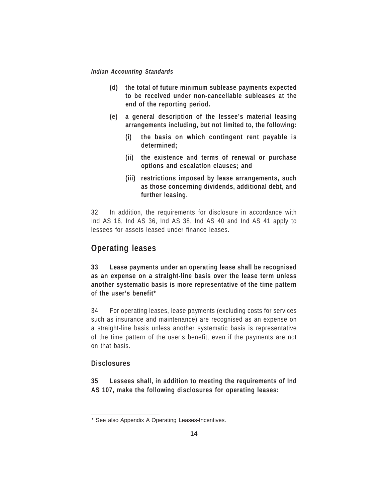- **(d) the total of future minimum sublease payments expected to be received under non-cancellable subleases at the end of the reporting period.**
- **(e) a general description of the lessee's material leasing arrangements including, but not limited to, the following:**
	- **(i) the basis on which contingent rent payable is determined;**
	- **(ii) the existence and terms of renewal or purchase options and escalation clauses; and**
	- **(iii) restrictions imposed by lease arrangements, such as those concerning dividends, additional debt, and further leasing.**

32 In addition, the requirements for disclosure in accordance with Ind AS 16, Ind AS 36, Ind AS 38, Ind AS 40 and Ind AS 41 apply to lessees for assets leased under finance leases.

### **Operating leases**

**33 Lease payments under an operating lease shall be recognised as an expense on a straight-line basis over the lease term unless another systematic basis is more representative of the time pattern of the user's benefit\***

34 For operating leases, lease payments (excluding costs for services such as insurance and maintenance) are recognised as an expense on a straight-line basis unless another systematic basis is representative of the time pattern of the user's benefit, even if the payments are not on that basis.

### **Disclosures**

**35 Lessees shall, in addition to meeting the requirements of Ind AS 107, make the following disclosures for operating leases:**

<sup>\*</sup> See also Appendix A Operating Leases-Incentives.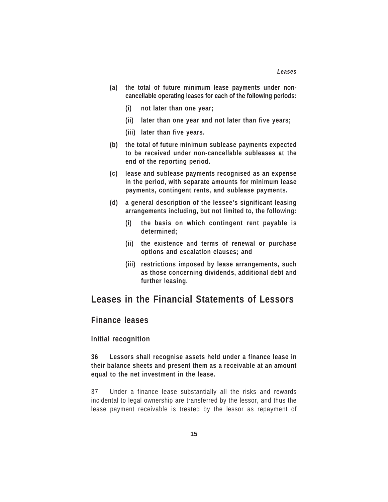- **(a) the total of future minimum lease payments under noncancellable operating leases for each of the following periods:**
	- **(i) not later than one year;**
	- **(ii) later than one year and not later than five years;**
	- **(iii) later than five years.**
- **(b) the total of future minimum sublease payments expected to be received under non-cancellable subleases at the end of the reporting period.**
- **(c) lease and sublease payments recognised as an expense in the period, with separate amounts for minimum lease payments, contingent rents, and sublease payments.**
- **(d) a general description of the lessee's significant leasing arrangements including, but not limited to, the following:**
	- **(i) the basis on which contingent rent payable is determined;**
	- **(ii) the existence and terms of renewal or purchase options and escalation clauses; and**
	- **(iii) restrictions imposed by lease arrangements, such as those concerning dividends, additional debt and further leasing.**

## **Leases in the Financial Statements of Lessors**

### **Finance leases**

#### **Initial recognition**

**36 Lessors shall recognise assets held under a finance lease in their balance sheets and present them as a receivable at an amount equal to the net investment in the lease.**

37 Under a finance lease substantially all the risks and rewards incidental to legal ownership are transferred by the lessor, and thus the lease payment receivable is treated by the lessor as repayment of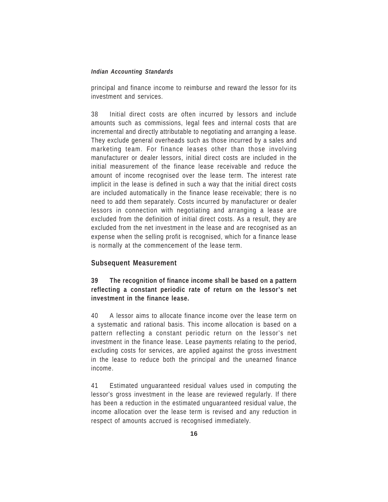principal and finance income to reimburse and reward the lessor for its investment and services.

38 Initial direct costs are often incurred by lessors and include amounts such as commissions, legal fees and internal costs that are incremental and directly attributable to negotiating and arranging a lease. They exclude general overheads such as those incurred by a sales and marketing team. For finance leases other than those involving manufacturer or dealer lessors, initial direct costs are included in the initial measurement of the finance lease receivable and reduce the amount of income recognised over the lease term. The interest rate implicit in the lease is defined in such a way that the initial direct costs are included automatically in the finance lease receivable; there is no need to add them separately. Costs incurred by manufacturer or dealer lessors in connection with negotiating and arranging a lease are excluded from the definition of initial direct costs. As a result, they are excluded from the net investment in the lease and are recognised as an expense when the selling profit is recognised, which for a finance lease is normally at the commencement of the lease term.

#### **Subsequent Measurement**

### **39 The recognition of finance income shall be based on a pattern reflecting a constant periodic rate of return on the lessor's net investment in the finance lease.**

40 A lessor aims to allocate finance income over the lease term on a systematic and rational basis. This income allocation is based on a pattern reflecting a constant periodic return on the lessor's net investment in the finance lease. Lease payments relating to the period, excluding costs for services, are applied against the gross investment in the lease to reduce both the principal and the unearned finance income.

41 Estimated unguaranteed residual values used in computing the lessor's gross investment in the lease are reviewed regularly. If there has been a reduction in the estimated unguaranteed residual value, the income allocation over the lease term is revised and any reduction in respect of amounts accrued is recognised immediately.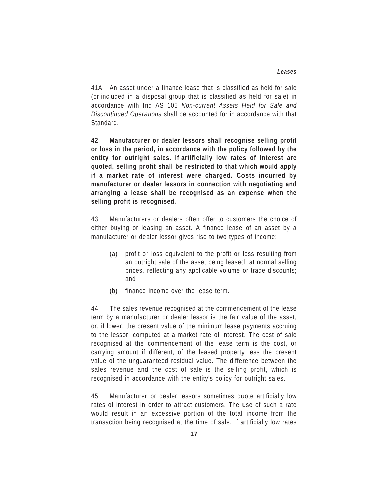41A An asset under a finance lease that is classified as held for sale (or included in a disposal group that is classified as held for sale) in accordance with Ind AS 105 *Non-current Assets Held for Sale and Discontinued Operations* shall be accounted for in accordance with that Standard.

**42 Manufacturer or dealer lessors shall recognise selling profit or loss in the period, in accordance with the policy followed by the entity for outright sales. If artificially low rates of interest are quoted, selling profit shall be restricted to that which would apply if a market rate of interest were charged. Costs incurred by manufacturer or dealer lessors in connection with negotiating and arranging a lease shall be recognised as an expense when the selling profit is recognised.**

43 Manufacturers or dealers often offer to customers the choice of either buying or leasing an asset. A finance lease of an asset by a manufacturer or dealer lessor gives rise to two types of income:

- (a) profit or loss equivalent to the profit or loss resulting from an outright sale of the asset being leased, at normal selling prices, reflecting any applicable volume or trade discounts; and
- (b) finance income over the lease term.

44 The sales revenue recognised at the commencement of the lease term by a manufacturer or dealer lessor is the fair value of the asset, or, if lower, the present value of the minimum lease payments accruing to the lessor, computed at a market rate of interest. The cost of sale recognised at the commencement of the lease term is the cost, or carrying amount if different, of the leased property less the present value of the unguaranteed residual value. The difference between the sales revenue and the cost of sale is the selling profit, which is recognised in accordance with the entity's policy for outright sales.

45 Manufacturer or dealer lessors sometimes quote artificially low rates of interest in order to attract customers. The use of such a rate would result in an excessive portion of the total income from the transaction being recognised at the time of sale. If artificially low rates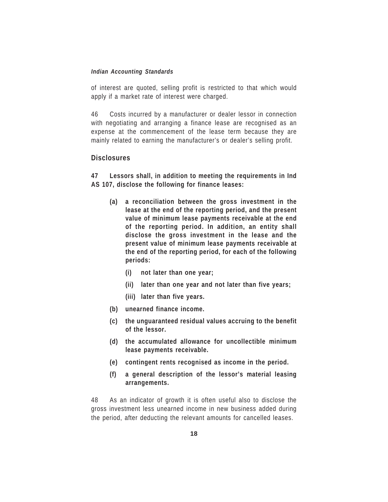of interest are quoted, selling profit is restricted to that which would apply if a market rate of interest were charged.

46 Costs incurred by a manufacturer or dealer lessor in connection with negotiating and arranging a finance lease are recognised as an expense at the commencement of the lease term because they are mainly related to earning the manufacturer's or dealer's selling profit.

### **Disclosures**

**47 Lessors shall, in addition to meeting the requirements in Ind AS 107, disclose the following for finance leases:**

- **(a) a reconciliation between the gross investment in the lease at the end of the reporting period, and the present value of minimum lease payments receivable at the end of the reporting period. In addition, an entity shall disclose the gross investment in the lease and the present value of minimum lease payments receivable at the end of the reporting period, for each of the following periods:**
	- **(i) not later than one year;**
	- **(ii) later than one year and not later than five years;**
	- **(iii) later than five years.**
- **(b) unearned finance income.**
- **(c) the unguaranteed residual values accruing to the benefit of the lessor.**
- **(d) the accumulated allowance for uncollectible minimum lease payments receivable.**
- **(e) contingent rents recognised as income in the period.**
- **(f) a general description of the lessor's material leasing arrangements.**

48 As an indicator of growth it is often useful also to disclose the gross investment less unearned income in new business added during the period, after deducting the relevant amounts for cancelled leases.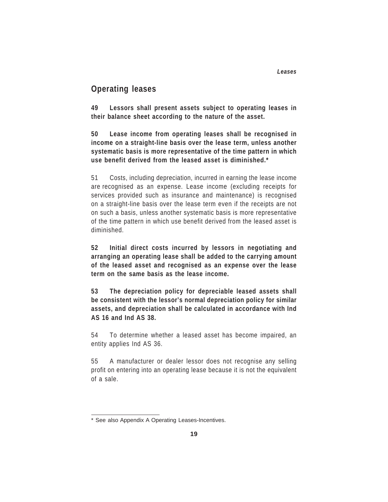### **Operating leases**

**49 Lessors shall present assets subject to operating leases in their balance sheet according to the nature of the asset.**

**50 Lease income from operating leases shall be recognised in income on a straight-line basis over the lease term, unless another systematic basis is more representative of the time pattern in which use benefit derived from the leased asset is diminished.\*** 

51 Costs, including depreciation, incurred in earning the lease income are recognised as an expense. Lease income (excluding receipts for services provided such as insurance and maintenance) is recognised on a straight-line basis over the lease term even if the receipts are not on such a basis, unless another systematic basis is more representative of the time pattern in which use benefit derived from the leased asset is diminished.

**52 Initial direct costs incurred by lessors in negotiating and arranging an operating lease shall be added to the carrying amount of the leased asset and recognised as an expense over the lease term on the same basis as the lease income.**

**53 The depreciation policy for depreciable leased assets shall be consistent with the lessor's normal depreciation policy for similar assets, and depreciation shall be calculated in accordance with Ind AS 16 and Ind AS 38.**

54 To determine whether a leased asset has become impaired, an entity applies Ind AS 36.

55 A manufacturer or dealer lessor does not recognise any selling profit on entering into an operating lease because it is not the equivalent of a sale.

<sup>\*</sup> See also Appendix A Operating Leases-Incentives.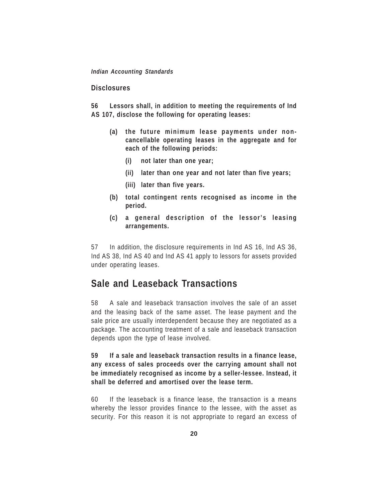#### **Disclosures**

**56 Lessors shall, in addition to meeting the requirements of Ind AS 107, disclose the following for operating leases:**

- **(a) the future minimum lease payments under noncancellable operating leases in the aggregate and for each of the following periods:**
	- **(i) not later than one year;**
	- **(ii) later than one year and not later than five years;**
	- **(iii) later than five years.**
- **(b) total contingent rents recognised as income in the period.**
- **(c) a general description of the lessor's leasing arrangements.**

57 In addition, the disclosure requirements in Ind AS 16, Ind AS 36, Ind AS 38, Ind AS 40 and Ind AS 41 apply to lessors for assets provided under operating leases.

### **Sale and Leaseback Transactions**

58 A sale and leaseback transaction involves the sale of an asset and the leasing back of the same asset. The lease payment and the sale price are usually interdependent because they are negotiated as a package. The accounting treatment of a sale and leaseback transaction depends upon the type of lease involved.

**59 If a sale and leaseback transaction results in a finance lease, any excess of sales proceeds over the carrying amount shall not be immediately recognised as income by a seller-lessee. Instead, it shall be deferred and amortised over the lease term.**

60 If the leaseback is a finance lease, the transaction is a means whereby the lessor provides finance to the lessee, with the asset as security. For this reason it is not appropriate to regard an excess of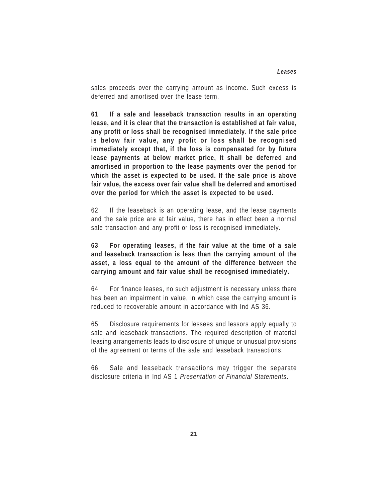sales proceeds over the carrying amount as income. Such excess is deferred and amortised over the lease term.

**61 If a sale and leaseback transaction results in an operating lease, and it is clear that the transaction is established at fair value, any profit or loss shall be recognised immediately. If the sale price is below fair value, any profit or loss shall be recognised immediately except that, if the loss is compensated for by future lease payments at below market price, it shall be deferred and amortised in proportion to the lease payments over the period for which the asset is expected to be used. If the sale price is above fair value, the excess over fair value shall be deferred and amortised over the period for which the asset is expected to be used.**

62 If the leaseback is an operating lease, and the lease payments and the sale price are at fair value, there has in effect been a normal sale transaction and any profit or loss is recognised immediately.

**63 For operating leases, if the fair value at the time of a sale and leaseback transaction is less than the carrying amount of the asset, a loss equal to the amount of the difference between the carrying amount and fair value shall be recognised immediately.**

64 For finance leases, no such adjustment is necessary unless there has been an impairment in value, in which case the carrying amount is reduced to recoverable amount in accordance with Ind AS 36.

65 Disclosure requirements for lessees and lessors apply equally to sale and leaseback transactions. The required description of material leasing arrangements leads to disclosure of unique or unusual provisions of the agreement or terms of the sale and leaseback transactions.

66 Sale and leaseback transactions may trigger the separate disclosure criteria in Ind AS 1 *Presentation of Financial Statements*.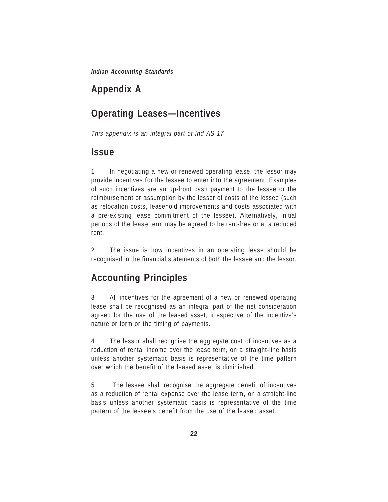## **Appendix A**

# **Operating Leases—Incentives**

*This appendix is an integral part of Ind AS 17*

## **Issue**

1 In negotiating a new or renewed operating lease, the lessor may provide incentives for the lessee to enter into the agreement. Examples of such incentives are an up-front cash payment to the lessee or the reimbursement or assumption by the lessor of costs of the lessee (such as relocation costs, leasehold improvements and costs associated with a pre-existing lease commitment of the lessee). Alternatively, initial periods of the lease term may be agreed to be rent-free or at a reduced rent.

2 The issue is how incentives in an operating lease should be recognised in the financial statements of both the lessee and the lessor.

# **Accounting Principles**

3 All incentives for the agreement of a new or renewed operating lease shall be recognised as an integral part of the net consideration agreed for the use of the leased asset, irrespective of the incentive's nature or form or the timing of payments.

4 The lessor shall recognise the aggregate cost of incentives as a reduction of rental income over the lease term, on a straight-line basis unless another systematic basis is representative of the time pattern over which the benefit of the leased asset is diminished.

5 The lessee shall recognise the aggregate benefit of incentives as a reduction of rental expense over the lease term, on a straight-line basis unless another systematic basis is representative of the time pattern of the lessee's benefit from the use of the leased asset.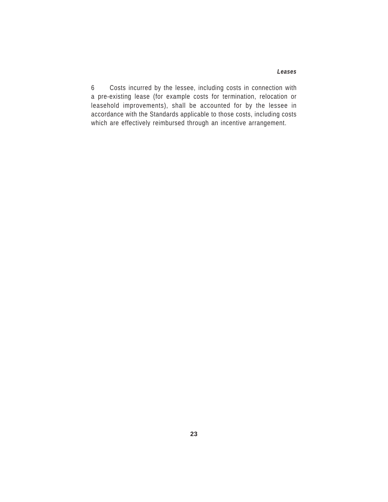6 Costs incurred by the lessee, including costs in connection with a pre-existing lease (for example costs for termination, relocation or leasehold improvements), shall be accounted for by the lessee in accordance with the Standards applicable to those costs, including costs which are effectively reimbursed through an incentive arrangement.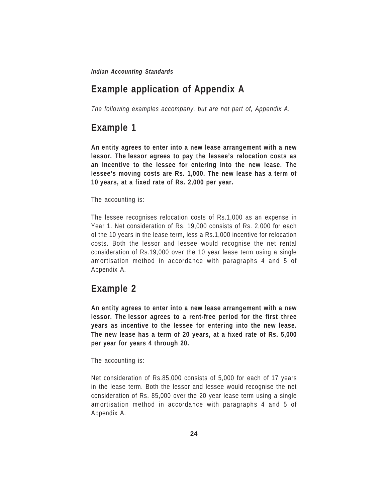## **Example application of Appendix A**

*The following examples accompany, but are not part of, Appendix A.*

## **Example 1**

**An entity agrees to enter into a new lease arrangement with a new lessor. The lessor agrees to pay the lessee's relocation costs as an incentive to the lessee for entering into the new lease. The lessee's moving costs are Rs. 1,000. The new lease has a term of 10 years, at a fixed rate of Rs. 2,000 per year.**

The accounting is:

The lessee recognises relocation costs of Rs.1,000 as an expense in Year 1. Net consideration of Rs. 19,000 consists of Rs. 2,000 for each of the 10 years in the lease term, less a Rs.1,000 incentive for relocation costs. Both the lessor and lessee would recognise the net rental consideration of Rs.19,000 over the 10 year lease term using a single amortisation method in accordance with paragraphs 4 and 5 of Appendix A.

### **Example 2**

**An entity agrees to enter into a new lease arrangement with a new lessor. The lessor agrees to a rent-free period for the first three years as incentive to the lessee for entering into the new lease. The new lease has a term of 20 years, at a fixed rate of Rs. 5,000 per year for years 4 through 20.**

The accounting is:

Net consideration of Rs.85,000 consists of 5,000 for each of 17 years in the lease term. Both the lessor and lessee would recognise the net consideration of Rs. 85,000 over the 20 year lease term using a single amortisation method in accordance with paragraphs 4 and 5 of Appendix A.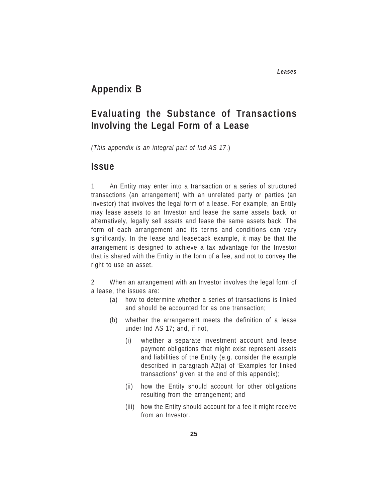## **Appendix B**

# **Evaluating the Substance of Transactions Involving the Legal Form of a Lease**

*(This appendix is an integral part of Ind AS 17*.)

### **Issue**

1 An Entity may enter into a transaction or a series of structured transactions (an arrangement) with an unrelated party or parties (an Investor) that involves the legal form of a lease. For example, an Entity may lease assets to an Investor and lease the same assets back, or alternatively, legally sell assets and lease the same assets back. The form of each arrangement and its terms and conditions can vary significantly. In the lease and leaseback example, it may be that the arrangement is designed to achieve a tax advantage for the Investor that is shared with the Entity in the form of a fee, and not to convey the right to use an asset.

2 When an arrangement with an Investor involves the legal form of a lease, the issues are:

- (a) how to determine whether a series of transactions is linked and should be accounted for as one transaction;
- (b) whether the arrangement meets the definition of a lease under Ind AS 17; and, if not,
	- (i) whether a separate investment account and lease payment obligations that might exist represent assets and liabilities of the Entity (e.g. consider the example described in paragraph A2(a) of 'Examples for linked transactions' given at the end of this appendix);
	- (ii) how the Entity should account for other obligations resulting from the arrangement; and
	- (iii) how the Entity should account for a fee it might receive from an Investor.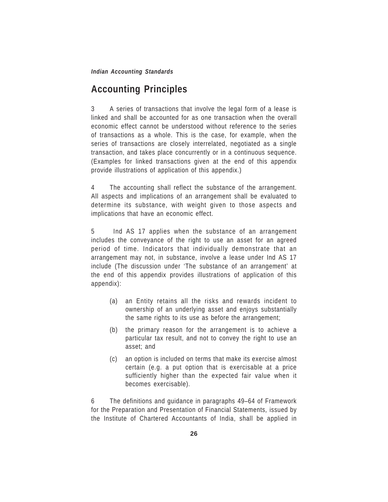## **Accounting Principles**

3 A series of transactions that involve the legal form of a lease is linked and shall be accounted for as one transaction when the overall economic effect cannot be understood without reference to the series of transactions as a whole. This is the case, for example, when the series of transactions are closely interrelated, negotiated as a single transaction, and takes place concurrently or in a continuous sequence. (Examples for linked transactions given at the end of this appendix provide illustrations of application of this appendix.)

4 The accounting shall reflect the substance of the arrangement. All aspects and implications of an arrangement shall be evaluated to determine its substance, with weight given to those aspects and implications that have an economic effect.

5 Ind AS 17 applies when the substance of an arrangement includes the conveyance of the right to use an asset for an agreed period of time. Indicators that individually demonstrate that an arrangement may not, in substance, involve a lease under Ind AS 17 include (The discussion under 'The substance of an arrangement' at the end of this appendix provides illustrations of application of this appendix):

- (a) an Entity retains all the risks and rewards incident to ownership of an underlying asset and enjoys substantially the same rights to its use as before the arrangement;
- (b) the primary reason for the arrangement is to achieve a particular tax result, and not to convey the right to use an asset; and
- (c) an option is included on terms that make its exercise almost certain (e.g. a put option that is exercisable at a price sufficiently higher than the expected fair value when it becomes exercisable).

6 The definitions and guidance in paragraphs 49–64 of Framework for the Preparation and Presentation of Financial Statements*,* issued by the Institute of Chartered Accountants of India, shall be applied in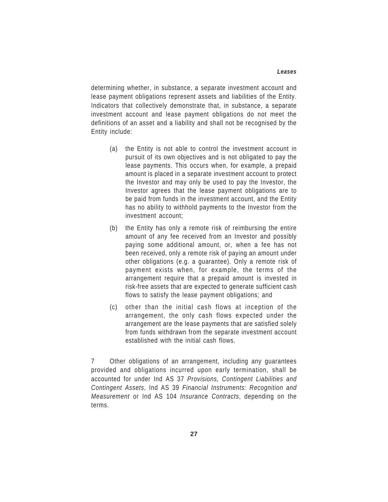determining whether, in substance, a separate investment account and lease payment obligations represent assets and liabilities of the Entity. Indicators that collectively demonstrate that, in substance, a separate investment account and lease payment obligations do not meet the definitions of an asset and a liability and shall not be recognised by the Entity include:

- (a) the Entity is not able to control the investment account in pursuit of its own objectives and is not obligated to pay the lease payments. This occurs when, for example, a prepaid amount is placed in a separate investment account to protect the Investor and may only be used to pay the Investor, the Investor agrees that the lease payment obligations are to be paid from funds in the investment account, and the Entity has no ability to withhold payments to the Investor from the investment account;
- (b) the Entity has only a remote risk of reimbursing the entire amount of any fee received from an Investor and possibly paying some additional amount, or, when a fee has not been received, only a remote risk of paying an amount under other obligations (e.g. a guarantee). Only a remote risk of payment exists when, for example, the terms of the arrangement require that a prepaid amount is invested in risk-free assets that are expected to generate sufficient cash flows to satisfy the lease payment obligations; and
- (c) other than the initial cash flows at inception of the arrangement, the only cash flows expected under the arrangement are the lease payments that are satisfied solely from funds withdrawn from the separate investment account established with the initial cash flows.

7 Other obligations of an arrangement, including any guarantees provided and obligations incurred upon early termination, shall be accounted for under Ind AS 37 *Provisions, Contingent Liabilities and Contingent Assets*, Ind AS 39 *Financial Instruments: Recognition and Measurement* or Ind AS 104 *Insurance Contracts*, depending on the terms.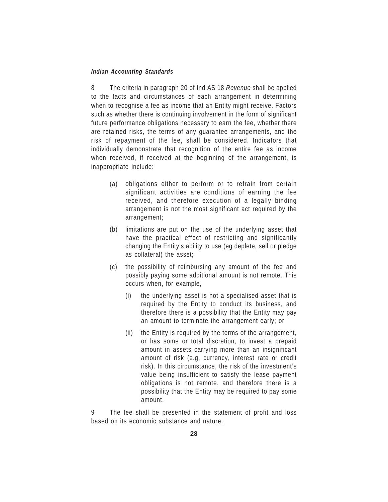8 The criteria in paragraph 20 of Ind AS 18 *Revenue* shall be applied to the facts and circumstances of each arrangement in determining when to recognise a fee as income that an Entity might receive. Factors such as whether there is continuing involvement in the form of significant future performance obligations necessary to earn the fee, whether there are retained risks, the terms of any guarantee arrangements, and the risk of repayment of the fee, shall be considered. Indicators that individually demonstrate that recognition of the entire fee as income when received, if received at the beginning of the arrangement, is inappropriate include:

- (a) obligations either to perform or to refrain from certain significant activities are conditions of earning the fee received, and therefore execution of a legally binding arrangement is not the most significant act required by the arrangement;
- (b) limitations are put on the use of the underlying asset that have the practical effect of restricting and significantly changing the Entity's ability to use (eg deplete, sell or pledge as collateral) the asset;
- (c) the possibility of reimbursing any amount of the fee and possibly paying some additional amount is not remote. This occurs when, for example,
	- (i) the underlying asset is not a specialised asset that is required by the Entity to conduct its business, and therefore there is a possibility that the Entity may pay an amount to terminate the arrangement early; or
	- (ii) the Entity is required by the terms of the arrangement, or has some or total discretion, to invest a prepaid amount in assets carrying more than an insignificant amount of risk (e.g. currency, interest rate or credit risk). In this circumstance, the risk of the investment's value being insufficient to satisfy the lease payment obligations is not remote, and therefore there is a possibility that the Entity may be required to pay some amount.

9 The fee shall be presented in the statement of profit and loss based on its economic substance and nature.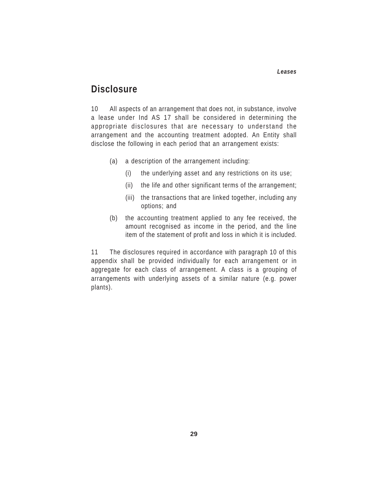## **Disclosure**

10 All aspects of an arrangement that does not, in substance, involve a lease under Ind AS 17 shall be considered in determining the appropriate disclosures that are necessary to understand the arrangement and the accounting treatment adopted. An Entity shall disclose the following in each period that an arrangement exists:

- (a) a description of the arrangement including:
	- (i) the underlying asset and any restrictions on its use;
	- (ii) the life and other significant terms of the arrangement;
	- (iii) the transactions that are linked together, including any options; and
- (b) the accounting treatment applied to any fee received, the amount recognised as income in the period, and the line item of the statement of profit and loss in which it is included.

11 The disclosures required in accordance with paragraph 10 of this appendix shall be provided individually for each arrangement or in aggregate for each class of arrangement. A class is a grouping of arrangements with underlying assets of a similar nature (e.g. power plants).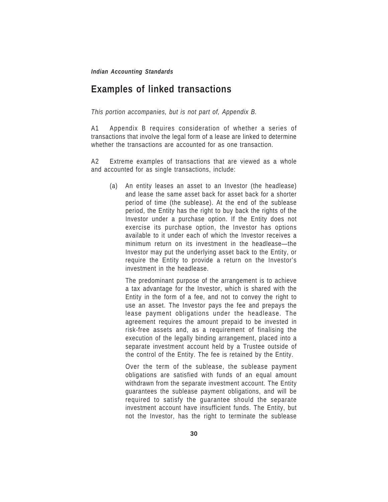### **Examples of linked transactions**

#### *This portion accompanies, but is not part of, Appendix B.*

A1 Appendix B requires consideration of whether a series of transactions that involve the legal form of a lease are linked to determine whether the transactions are accounted for as one transaction.

A2 Extreme examples of transactions that are viewed as a whole and accounted for as single transactions, include:

(a) An entity leases an asset to an Investor (the headlease) and lease the same asset back for asset back for a shorter period of time (the sublease). At the end of the sublease period, the Entity has the right to buy back the rights of the Investor under a purchase option. If the Entity does not exercise its purchase option, the Investor has options available to it under each of which the Investor receives a minimum return on its investment in the headlease—the Investor may put the underlying asset back to the Entity, or require the Entity to provide a return on the Investor's investment in the headlease.

The predominant purpose of the arrangement is to achieve a tax advantage for the Investor, which is shared with the Entity in the form of a fee, and not to convey the right to use an asset. The Investor pays the fee and prepays the lease payment obligations under the headlease. The agreement requires the amount prepaid to be invested in risk-free assets and, as a requirement of finalising the execution of the legally binding arrangement, placed into a separate investment account held by a Trustee outside of the control of the Entity. The fee is retained by the Entity.

Over the term of the sublease, the sublease payment obligations are satisfied with funds of an equal amount withdrawn from the separate investment account. The Entity guarantees the sublease payment obligations, and will be required to satisfy the guarantee should the separate investment account have insufficient funds. The Entity, but not the Investor, has the right to terminate the sublease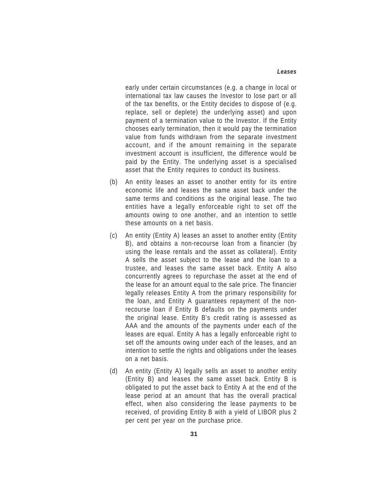early under certain circumstances (e.g. a change in local or international tax law causes the Investor to lose part or all of the tax benefits, or the Entity decides to dispose of (e.g. replace, sell or deplete) the underlying asset) and upon payment of a termination value to the Investor. If the Entity chooses early termination, then it would pay the termination value from funds withdrawn from the separate investment account, and if the amount remaining in the separate investment account is insufficient, the difference would be paid by the Entity. The underlying asset is a specialised asset that the Entity requires to conduct its business.

- (b) An entity leases an asset to another entity for its entire economic life and leases the same asset back under the same terms and conditions as the original lease. The two entities have a legally enforceable right to set off the amounts owing to one another, and an intention to settle these amounts on a net basis.
- (c) An entity (Entity A) leases an asset to another entity (Entity B), and obtains a non-recourse loan from a financier (by using the lease rentals and the asset as collateral). Entity A sells the asset subject to the lease and the loan to a trustee, and leases the same asset back. Entity A also concurrently agrees to repurchase the asset at the end of the lease for an amount equal to the sale price. The financier legally releases Entity A from the primary responsibility for the loan, and Entity A guarantees repayment of the nonrecourse loan if Entity B defaults on the payments under the original lease. Entity B's credit rating is assessed as AAA and the amounts of the payments under each of the leases are equal. Entity A has a legally enforceable right to set off the amounts owing under each of the leases, and an intention to settle the rights and obligations under the leases on a net basis.
- (d) An entity (Entity A) legally sells an asset to another entity (Entity B) and leases the same asset back. Entity B is obligated to put the asset back to Entity A at the end of the lease period at an amount that has the overall practical effect, when also considering the lease payments to be received, of providing Entity B with a yield of LIBOR plus 2 per cent per year on the purchase price.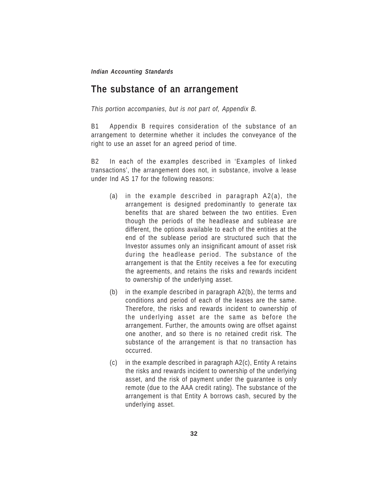### **The substance of an arrangement**

*This portion accompanies, but is not part of, Appendix B.*

B1 Appendix B requires consideration of the substance of an arrangement to determine whether it includes the conveyance of the right to use an asset for an agreed period of time.

B2 In each of the examples described in 'Examples of linked transactions', the arrangement does not, in substance, involve a lease under Ind AS 17 for the following reasons:

- (a) in the example described in paragraph A2(a), the arrangement is designed predominantly to generate tax benefits that are shared between the two entities. Even though the periods of the headlease and sublease are different, the options available to each of the entities at the end of the sublease period are structured such that the Investor assumes only an insignificant amount of asset risk during the headlease period. The substance of the arrangement is that the Entity receives a fee for executing the agreements, and retains the risks and rewards incident to ownership of the underlying asset.
- (b) in the example described in paragraph A2(b), the terms and conditions and period of each of the leases are the same. Therefore, the risks and rewards incident to ownership of the underlying asset are the same as before the arrangement. Further, the amounts owing are offset against one another, and so there is no retained credit risk. The substance of the arrangement is that no transaction has occurred.
- (c) in the example described in paragraph A2(c), Entity A retains the risks and rewards incident to ownership of the underlying asset, and the risk of payment under the guarantee is only remote (due to the AAA credit rating). The substance of the arrangement is that Entity A borrows cash, secured by the underlying asset.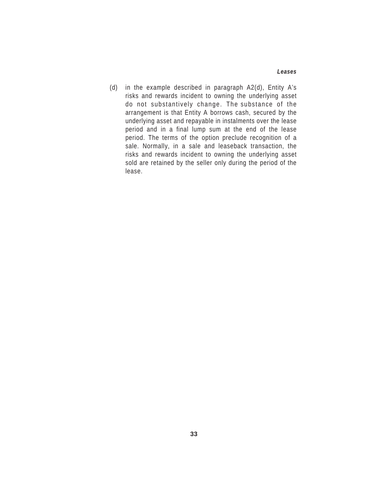(d) in the example described in paragraph A2(d), Entity A's risks and rewards incident to owning the underlying asset do not substantively change. The substance of the arrangement is that Entity A borrows cash, secured by the underlying asset and repayable in instalments over the lease period and in a final lump sum at the end of the lease period. The terms of the option preclude recognition of a sale. Normally, in a sale and leaseback transaction, the risks and rewards incident to owning the underlying asset sold are retained by the seller only during the period of the lease.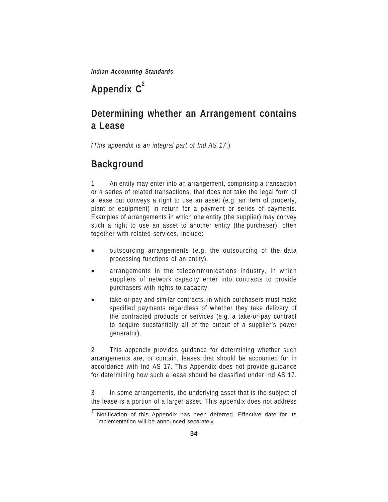# **Appendix C<sup>2</sup>**

# **Determining whether an Arrangement contains a Lease**

*(This appendix is an integral part of Ind AS 17*.)

## **Background**

1 An entity may enter into an arrangement, comprising a transaction or a series of related transactions, that does not take the legal form of a lease but conveys a right to use an asset (e.g. an item of property, plant or equipment) in return for a payment or series of payments. Examples of arrangements in which one entity (the supplier) may convey such a right to use an asset to another entity (the purchaser), often together with related services, include:

- outsourcing arrangements (e.g. the outsourcing of the data processing functions of an entity).
- arrangements in the telecommunications industry, in which suppliers of network capacity enter into contracts to provide purchasers with rights to capacity.
- take-or-pay and similar contracts, in which purchasers must make specified payments regardless of whether they take delivery of the contracted products or services (e.g. a take-or-pay contract to acquire substantially all of the output of a supplier's power generator).

2 This appendix provides guidance for determining whether such arrangements are, or contain, leases that should be accounted for in accordance with Ind AS 17. This Appendix does not provide guidance for determining how such a lease should be classified under Ind AS 17.

3 In some arrangements, the underlying asset that is the subject of the lease is a portion of a larger asset. This appendix does not address

<sup>2</sup> Notification of this Appendix has been deferred. Effective date for its implementation will be announced separately.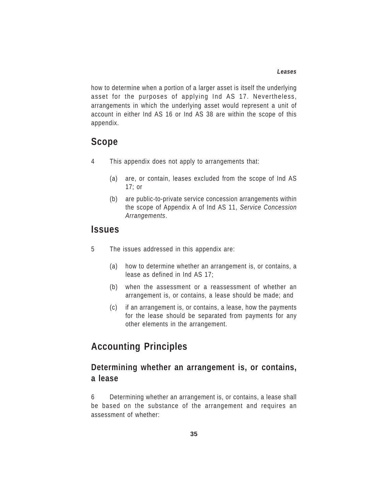how to determine when a portion of a larger asset is itself the underlying asset for the purposes of applying Ind AS 17. Nevertheless, arrangements in which the underlying asset would represent a unit of account in either Ind AS 16 or Ind AS 38 are within the scope of this appendix.

## **Scope**

- 4 This appendix does not apply to arrangements that:
	- (a) are, or contain, leases excluded from the scope of Ind AS 17; or
	- (b) are public-to-private service concession arrangements within the scope of Appendix A of Ind AS 11, *Service Concession Arrangements*.

### **Issues**

- 5 The issues addressed in this appendix are:
	- (a) how to determine whether an arrangement is, or contains, a lease as defined in Ind AS 17;
	- (b) when the assessment or a reassessment of whether an arrangement is, or contains, a lease should be made; and
	- (c) if an arrangement is, or contains, a lease, how the payments for the lease should be separated from payments for any other elements in the arrangement.

# **Accounting Principles**

## **Determining whether an arrangement is, or contains, a lease**

6 Determining whether an arrangement is, or contains, a lease shall be based on the substance of the arrangement and requires an assessment of whether: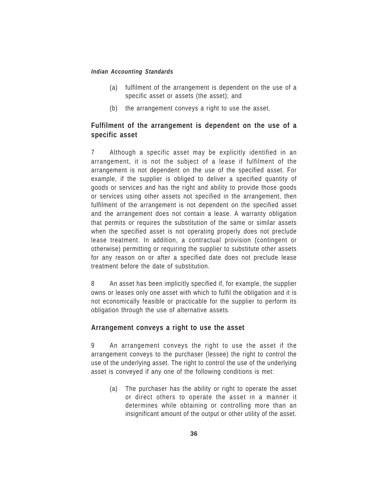- (a) fulfilment of the arrangement is dependent on the use of a specific asset or assets (the asset); and
- (b) the arrangement conveys a right to use the asset.

### **Fulfilment of the arrangement is dependent on the use of a specific asset**

7 Although a specific asset may be explicitly identified in an arrangement, it is not the subject of a lease if fulfilment of the arrangement is not dependent on the use of the specified asset. For example, if the supplier is obliged to deliver a specified quantity of goods or services and has the right and ability to provide those goods or services using other assets not specified in the arrangement, then fulfilment of the arrangement is not dependent on the specified asset and the arrangement does not contain a lease. A warranty obligation that permits or requires the substitution of the same or similar assets when the specified asset is not operating properly does not preclude lease treatment. In addition, a contractual provision (contingent or otherwise) permitting or requiring the supplier to substitute other assets for any reason on or after a specified date does not preclude lease treatment before the date of substitution.

8 An asset has been implicitly specified if, for example, the supplier owns or leases only one asset with which to fulfil the obligation and it is not economically feasible or practicable for the supplier to perform its obligation through the use of alternative assets.

### **Arrangement conveys a right to use the asset**

9 An arrangement conveys the right to use the asset if the arrangement conveys to the purchaser (lessee) the right to control the use of the underlying asset. The right to control the use of the underlying asset is conveyed if any one of the following conditions is met:

(a) The purchaser has the ability or right to operate the asset or direct others to operate the asset in a manner it determines while obtaining or controlling more than an insignificant amount of the output or other utility of the asset.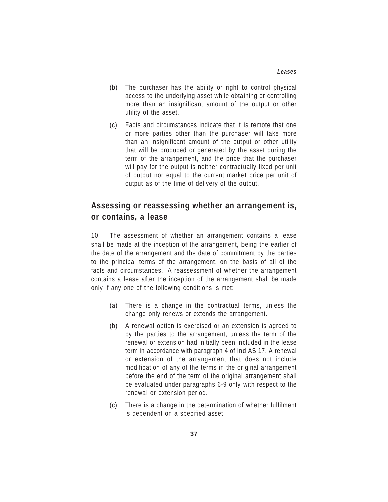- (b) The purchaser has the ability or right to control physical access to the underlying asset while obtaining or controlling more than an insignificant amount of the output or other utility of the asset.
- (c) Facts and circumstances indicate that it is remote that one or more parties other than the purchaser will take more than an insignificant amount of the output or other utility that will be produced or generated by the asset during the term of the arrangement, and the price that the purchaser will pay for the output is neither contractually fixed per unit of output nor equal to the current market price per unit of output as of the time of delivery of the output.

### **Assessing or reassessing whether an arrangement is, or contains, a lease**

10 The assessment of whether an arrangement contains a lease shall be made at the inception of the arrangement, being the earlier of the date of the arrangement and the date of commitment by the parties to the principal terms of the arrangement, on the basis of all of the facts and circumstances. A reassessment of whether the arrangement contains a lease after the inception of the arrangement shall be made only if any one of the following conditions is met:

- (a) There is a change in the contractual terms, unless the change only renews or extends the arrangement.
- (b) A renewal option is exercised or an extension is agreed to by the parties to the arrangement, unless the term of the renewal or extension had initially been included in the lease term in accordance with paragraph 4 of Ind AS 17. A renewal or extension of the arrangement that does not include modification of any of the terms in the original arrangement before the end of the term of the original arrangement shall be evaluated under paragraphs 6-9 only with respect to the renewal or extension period.
- (c) There is a change in the determination of whether fulfilment is dependent on a specified asset.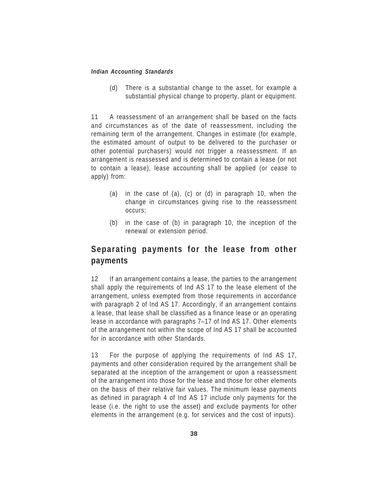(d) There is a substantial change to the asset, for example a substantial physical change to property, plant or equipment.

11 A reassessment of an arrangement shall be based on the facts and circumstances as of the date of reassessment, including the remaining term of the arrangement. Changes in estimate (for example, the estimated amount of output to be delivered to the purchaser or other potential purchasers) would not trigger a reassessment. If an arrangement is reassessed and is determined to contain a lease (or not to contain a lease), lease accounting shall be applied (or cease to apply) from:

- (a) in the case of (a), (c) or (d) in paragraph 10, when the change in circumstances giving rise to the reassessment occurs;
- (b) in the case of (b) in paragraph 10, the inception of the renewal or extension period.

## **Separating payments for the lease from other payments**

12 If an arrangement contains a lease, the parties to the arrangement shall apply the requirements of Ind AS 17 to the lease element of the arrangement, unless exempted from those requirements in accordance with paragraph 2 of Ind AS 17. Accordingly, if an arrangement contains a lease, that lease shall be classified as a finance lease or an operating lease in accordance with paragraphs 7–17 of Ind AS 17. Other elements of the arrangement not within the scope of Ind AS 17 shall be accounted for in accordance with other Standards.

13 For the purpose of applying the requirements of Ind AS 17, payments and other consideration required by the arrangement shall be separated at the inception of the arrangement or upon a reassessment of the arrangement into those for the lease and those for other elements on the basis of their relative fair values. The minimum lease payments as defined in paragraph 4 of Ind AS 17 include only payments for the lease (i.e. the right to use the asset) and exclude payments for other elements in the arrangement (e.g. for services and the cost of inputs).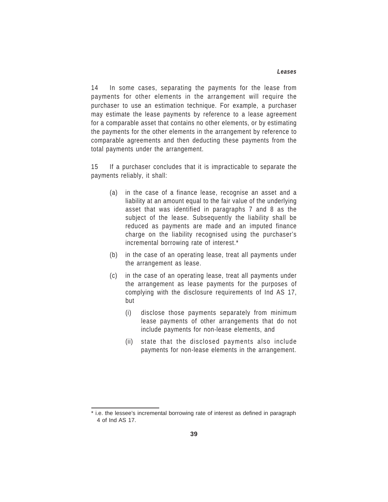14 In some cases, separating the payments for the lease from payments for other elements in the arrangement will require the purchaser to use an estimation technique. For example, a purchaser may estimate the lease payments by reference to a lease agreement for a comparable asset that contains no other elements, or by estimating the payments for the other elements in the arrangement by reference to comparable agreements and then deducting these payments from the total payments under the arrangement.

15 If a purchaser concludes that it is impracticable to separate the payments reliably, it shall:

- (a) in the case of a finance lease, recognise an asset and a liability at an amount equal to the fair value of the underlying asset that was identified in paragraphs 7 and 8 as the subject of the lease. Subsequently the liability shall be reduced as payments are made and an imputed finance charge on the liability recognised using the purchaser's incremental borrowing rate of interest.\*
- (b) in the case of an operating lease, treat all payments under the arrangement as lease.
- (c) in the case of an operating lease, treat all payments under the arrangement as lease payments for the purposes of complying with the disclosure requirements of Ind AS 17, but
	- (i) disclose those payments separately from minimum lease payments of other arrangements that do not include payments for non-lease elements, and
	- (ii) state that the disclosed payments also include payments for non-lease elements in the arrangement.

<sup>\*</sup> i.e. the lessee's incremental borrowing rate of interest as defined in paragraph 4 of Ind AS 17.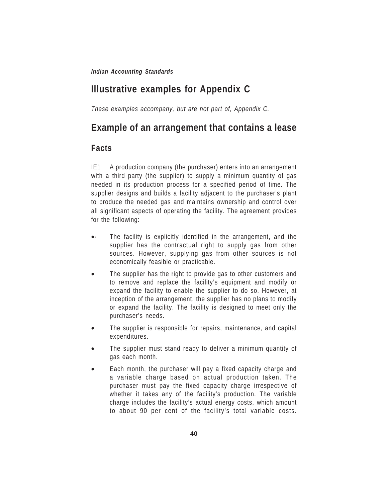## **Illustrative examples for Appendix C**

*These examples accompany, but are not part of, Appendix C.*

## **Example of an arrangement that contains a lease**

### **Facts**

IE1 A production company (the purchaser) enters into an arrangement with a third party (the supplier) to supply a minimum quantity of gas needed in its production process for a specified period of time. The supplier designs and builds a facility adjacent to the purchaser's plant to produce the needed gas and maintains ownership and control over all significant aspects of operating the facility. The agreement provides for the following:

- •· The facility is explicitly identified in the arrangement, and the supplier has the contractual right to supply gas from other sources. However, supplying gas from other sources is not economically feasible or practicable.
- The supplier has the right to provide gas to other customers and to remove and replace the facility's equipment and modify or expand the facility to enable the supplier to do so. However, at inception of the arrangement, the supplier has no plans to modify or expand the facility. The facility is designed to meet only the purchaser's needs.
- The supplier is responsible for repairs, maintenance, and capital expenditures.
- The supplier must stand ready to deliver a minimum quantity of gas each month.
- Each month, the purchaser will pay a fixed capacity charge and a variable charge based on actual production taken. The purchaser must pay the fixed capacity charge irrespective of whether it takes any of the facility's production. The variable charge includes the facility's actual energy costs, which amount to about 90 per cent of the facility's total variable costs.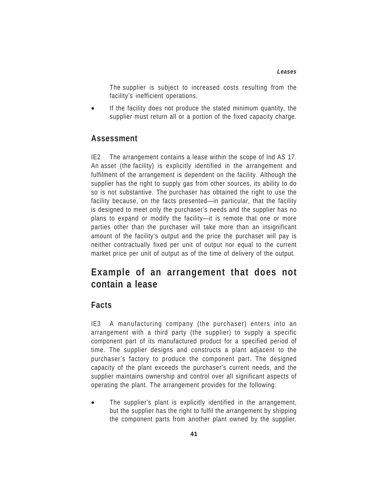The supplier is subject to increased costs resulting from the facility's inefficient operations.

If the facility does not produce the stated minimum quantity, the supplier must return all or a portion of the fixed capacity charge.

### **Assessment**

IE2 The arrangement contains a lease within the scope of Ind AS 17. An asset (the facility) is explicitly identified in the arrangement and fulfilment of the arrangement is dependent on the facility. Although the supplier has the right to supply gas from other sources, its ability to do so is not substantive. The purchaser has obtained the right to use the facility because, on the facts presented—in particular, that the facility is designed to meet only the purchaser's needs and the supplier has no plans to expand or modify the facility—it is remote that one or more parties other than the purchaser will take more than an insignificant amount of the facility's output and the price the purchaser will pay is neither contractually fixed per unit of output nor equal to the current market price per unit of output as of the time of delivery of the output.

# **Example of an arrangement that does not contain a lease**

### **Facts**

IE3 A manufacturing company (the purchaser) enters into an arrangement with a third party (the supplier) to supply a specific component part of its manufactured product for a specified period of time. The supplier designs and constructs a plant adjacent to the purchaser's factory to produce the component part. The designed capacity of the plant exceeds the purchaser's current needs, and the supplier maintains ownership and control over all significant aspects of operating the plant. The arrangement provides for the following:

The supplier's plant is explicitly identified in the arrangement, but the supplier has the right to fulfil the arrangement by shipping the component parts from another plant owned by the supplier.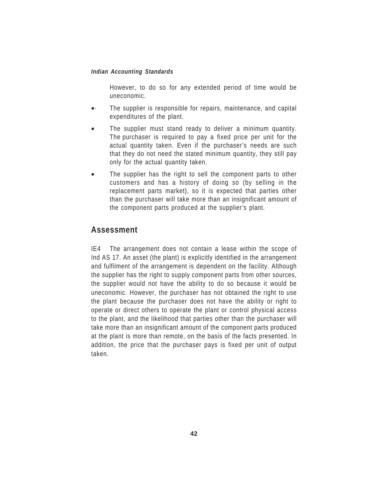However, to do so for any extended period of time would be uneconomic.

- The supplier is responsible for repairs, maintenance, and capital expenditures of the plant.
- The supplier must stand ready to deliver a minimum quantity. The purchaser is required to pay a fixed price per unit for the actual quantity taken. Even if the purchaser's needs are such that they do not need the stated minimum quantity, they still pay only for the actual quantity taken.
- The supplier has the right to sell the component parts to other customers and has a history of doing so (by selling in the replacement parts market), so it is expected that parties other than the purchaser will take more than an insignificant amount of the component parts produced at the supplier's plant.

### **Assessment**

IE4 The arrangement does not contain a lease within the scope of Ind AS 17. An asset (the plant) is explicitly identified in the arrangement and fulfilment of the arrangement is dependent on the facility. Although the supplier has the right to supply component parts from other sources, the supplier would not have the ability to do so because it would be uneconomic. However, the purchaser has not obtained the right to use the plant because the purchaser does not have the ability or right to operate or direct others to operate the plant or control physical access to the plant, and the likelihood that parties other than the purchaser will take more than an insignificant amount of the component parts produced at the plant is more than remote, on the basis of the facts presented. In addition, the price that the purchaser pays is fixed per unit of output taken.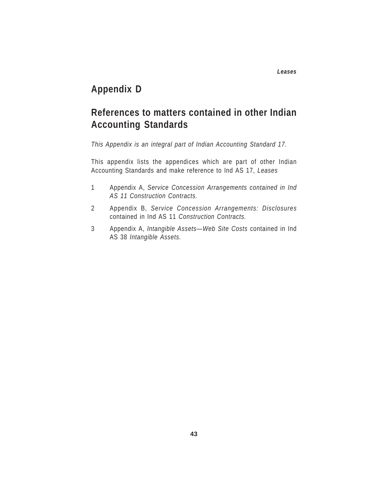# **Appendix D**

# **References to matters contained in other Indian Accounting Standards**

*This Appendix is an integral part of Indian Accounting Standard 17.*

This appendix lists the appendices which are part of other Indian Accounting Standards and make reference to Ind AS 17, *Leases*

- 1 Appendix A, *Service Concession Arrangements contained in Ind AS 11 Construction Contracts.*
- 2 Appendix B, *Service Concession Arrangements: Disclosures* contained in Ind AS 11 *Construction Contracts.*
- 3 Appendix A, *Intangible Assets—Web Site Costs* contained in Ind AS 38 *Intangible Assets.*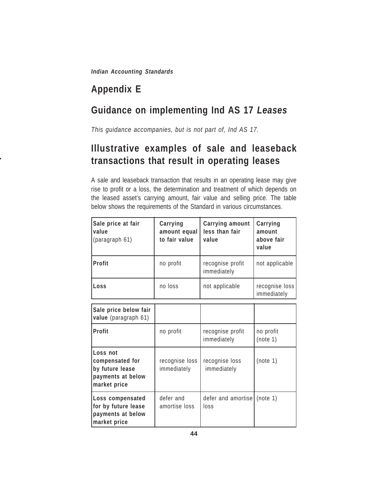# **Appendix E**

# **Guidance on implementing Ind AS 17** *Leases*

*This guidance accompanies, but is not part of, Ind AS 17.*

# **Illustrative examples of sale and leaseback transactions that result in operating leases**

A sale and leaseback transaction that results in an operating lease may give rise to profit or a loss, the determination and treatment of which depends on the leased asset's carrying amount, fair value and selling price. The table below shows the requirements of the Standard in various circumstances.

| Sale price at fair<br>value<br>(paragraph 61)                                       | Carrying<br>amount equal<br>to fair value | Carrying amount<br>less than fair<br>value | Carrying<br>amount<br>above fair<br>value |
|-------------------------------------------------------------------------------------|-------------------------------------------|--------------------------------------------|-------------------------------------------|
| Profit                                                                              | no profit                                 | recognise profit<br>immediately            | not applicable                            |
| Loss                                                                                | no loss                                   | not applicable                             | recognise loss<br>immediately             |
| Sale price below fair<br>value (paragraph 61)                                       |                                           |                                            |                                           |
| Profit                                                                              | no profit                                 | recognise profit<br>immediately            | no profit<br>(note 1)                     |
| Loss not<br>compensated for<br>by future lease<br>payments at below<br>market price | recognise loss<br>immediately             | recognise loss<br>immediately              | (note 1)                                  |
| Loss compensated<br>for by future lease<br>payments at below<br>market price        | defer and<br>amortise loss                | defer and amortise<br>loss                 | (note 1)                                  |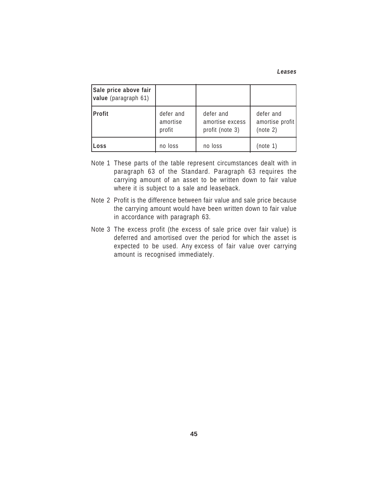| Sale price above fair<br>value (paragraph 61) |                                 |                                                 |                                          |
|-----------------------------------------------|---------------------------------|-------------------------------------------------|------------------------------------------|
| <b>Profit</b>                                 | defer and<br>amortise<br>profit | defer and<br>amortise excess<br>profit (note 3) | defer and<br>amortise profit<br>(note 2) |
| Loss                                          | no loss                         | no loss                                         | (note 1)                                 |

- Note 1 These parts of the table represent circumstances dealt with in paragraph 63 of the Standard. Paragraph 63 requires the carrying amount of an asset to be written down to fair value where it is subject to a sale and leaseback.
- Note 2 Profit is the difference between fair value and sale price because the carrying amount would have been written down to fair value in accordance with paragraph 63.
- Note 3 The excess profit (the excess of sale price over fair value) is deferred and amortised over the period for which the asset is expected to be used. Any excess of fair value over carrying amount is recognised immediately.